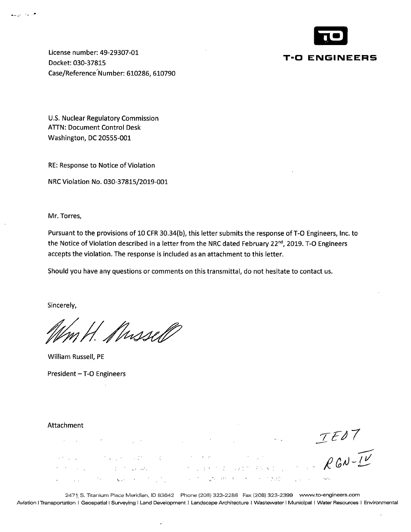

License number: 49-29307-01 Docket: 030-37815 Case/Reference Number: 610286, 610790

U.S. Nuclear Regulatory Commission ATIN: Document Control Desk Washington, DC 20555-001

RE: Response to Notice of Violation

NRC Violation No. 030-37815/2019-001

Mr. Torres,

.

Pursuant to the provisions of 10 CFR 30.34(b), this letter submits the response of T-0 Engineers, Inc. to the Notice of Violation described in a letter from the NRC dated February 22<sup>nd</sup>, 2019. T-O Engineers accepts the violation. The response is included as an attachment to this letter.

Should you have any questions or comments on this transmittal, do not hesitate to contact us.

Sincerely,

Mussell

William Russell, PE President - T-O Engineers

## Attachment

 $\overline{\phantom{a}}$ 

 $TE07$  $\label{eq:2.1} \partial_{\tau} \nabla \phi_{\tau}(\omega) = - \nabla \phi_{\tau}(\omega) - \partial_{\tau} \partial_{\tau} \psi_{\tau} \quad \mbox{and} \quad \nabla \phi_{\tau}(\omega) = \nabla \phi_{\tau}(\omega) = - \nabla \phi_{\tau}(\omega) = - \nabla \phi_{\tau}(\omega) = - \nabla \phi_{\tau}(\omega)$  $\label{eq:2.1} \frac{1}{2} \left( \frac{1}{2} \left( \frac{1}{2} \right) \left( \frac{1}{2} \right) \left( \frac{1}{2} \right) \left( \frac{1}{2} \right) \left( \frac{1}{2} \right) \right)$ 

 $\ddot{\phantom{0}}$ 

2471, S. Titanium Place Meridian, ID 83642 Phone (208) 323-2288 Fax (208) 323-2399 www.to-engineers.com Aviation I Transportation I Geospatial I Surveying I Land Development I Landscape Architecture I Wastewater I Municipal I Water Resources I Environmental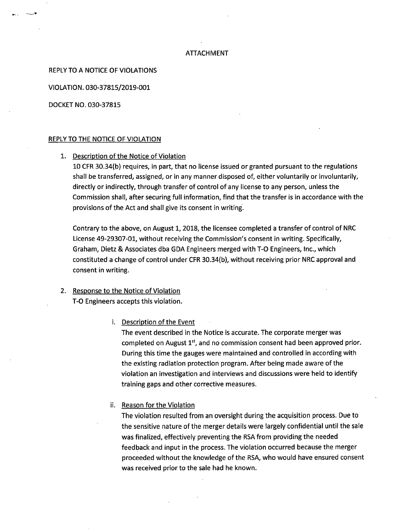## **ATTACHMENT**

REPLY TO A NOTICE OF VIOLATIONS

VIOLATION. 030-37815/2019-001

DOCKET NO. 030-37815

··---"'

### REPLY TO THE NOTICE OF VIOLATION

1. Description of the Notice of Violation

10 CFR 30.34(b) requires, in part, that no license issued or granted pursuant to the regulations shall be transferred, assigned, or in any manner disposed of, either voluntarily or involuntarily, directly or indirectly, through transfer of control of any license to any person, unless the Commission shall, after securing full information, find that the transfer is in accordance with the provisions of the Act and shall give its consent in writing.

Contrary to the above, on August 1, 2018, the licensee completed a transfer of control of NRC License 49-29307-01, without receiving the Commission's consent in writing. Specifically, Graham, Dietz & Associates dba GDA Engineers merged with T-0 Engineers, Inc., which constituted a change of control under CFR 30.34(b), without receiving prior NRC approval and consent in writing.

# 2. Response to the Notice of Violation T-0 Engineers accepts this violation.

i. Description of the Event

The event described in the Notice is accurate. The corporate merger was completed on August  $1<sup>st</sup>$ , and no commission consent had been approved prior. During this time the gauges were maintained and controlled in according with the existing radiation protection program. After being made aware of the violation an investigation and interviews and discussions were held to identify training gaps and other corrective measures.

ii. Reason for the Violation

The violation resulted from an oversight during the acquisition process. Due to the sensitive nature of the merger details were largely confidential until the sale was finalized, effectively preventing the RSA from providing the needed feedback and input in the process. The violation occurred because the merger proceeded without the knowledge of the RSA, who would have ensured consent was received prior to the sale had he known.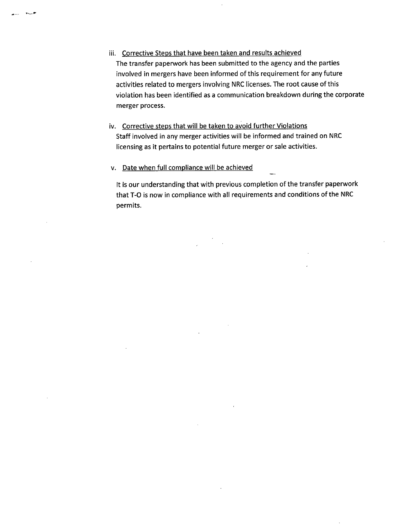- iii. Corrective Steps that have been taken and results achieved The transfer paperwork has been submitted to the agency and the parties involved in mergers have been informed of this requirement for any future activities related to mergers involving NRC licenses. The root cause of this violation has been identified as a communication breakdown during the corporate merger process.
- iv. Corrective steps that will be taken to avoid further Violations Staff involved in any merger activities will be informed and trained on NRC licensing as it pertains to potential future merger or sale activities.
- v. Date when full compliance will be achieved

It is our understanding that with previous completion of the transfer paperwork that T-0 is now in compliance with all requirements and conditions of the NRC permits.